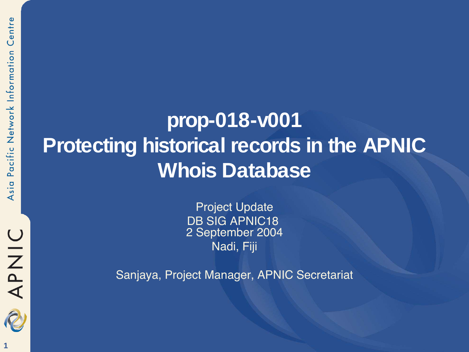**1**

APNIC

### **prop-018-v001 Protecting historical records in the APNIC Whois Database**

Project Update DB SIG APNIC18 2 September 2004 Nadi, Fiji

Sanjaya, Project Manager, APNIC Secretariat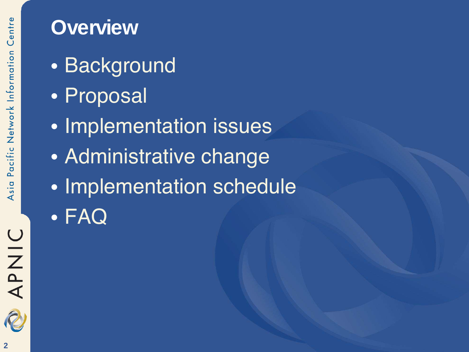### **Overview**

- Background
- Proposal
- **Implementation issues**
- Administrative change
- Implementation schedule
- FAQ

APNIC

R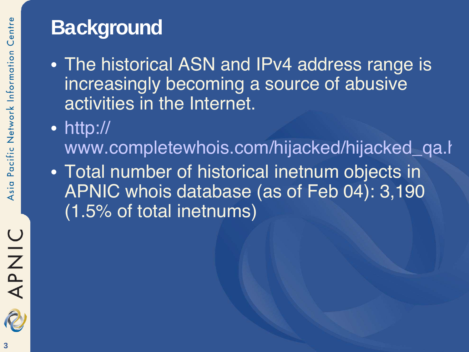## **Background**

- The historical ASN and IPv4 address range is increasingly becoming a source of abusive activities in the Internet.
- http:// www.completewhois.com/hijacked/hijacked\_qa.htm
- Total number of historical inetnum objects in APNIC whois database (as of Feb 04): 3,190 (1.5% of total inetnums)

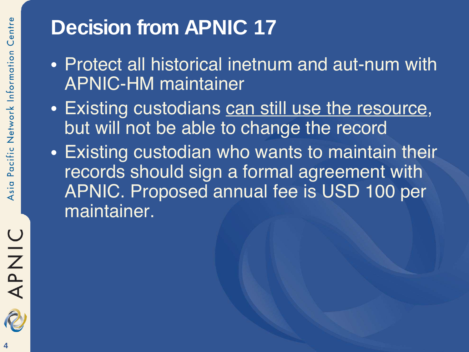# **Decision from APNIC 17**

- Protect all historical inetnum and aut-num with APNIC-HM maintainer
- Existing custodians can still use the resource, but will not be able to change the record
- Existing custodian who wants to maintain their records should sign a formal agreement with APNIC. Proposed annual fee is USD 100 per maintainer.

APNIC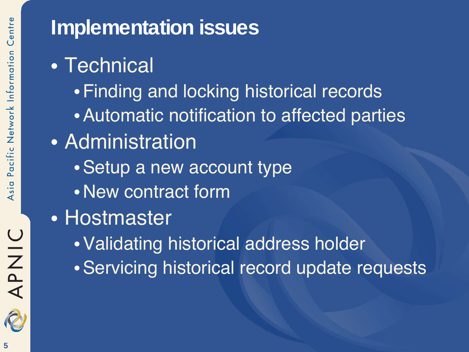# APNIC

### **Implementation issues**

- Technical
	- •Finding and locking historical records
	- •Automatic notification to affected parties
- Administration
	- •Setup a new account type
	- •New contract form
- Hostmaster
	- •Validating historical address holder
	- •Servicing historical record update requests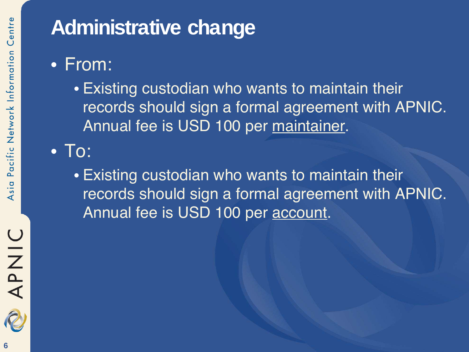### **Administrative change**

- From:
	- Existing custodian who wants to maintain their records should sign a formal agreement with APNIC. Annual fee is USD 100 per maintainer.
- To:
	- Existing custodian who wants to maintain their records should sign a formal agreement with APNIC. Annual fee is USD 100 per account.

UINAR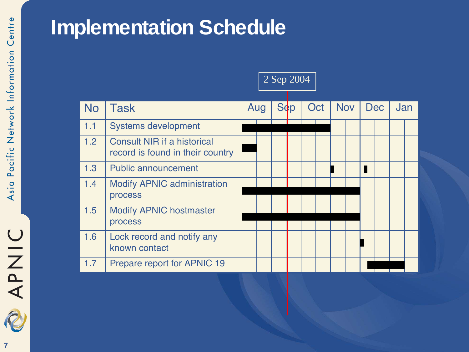RAANIC

### **Implementation Schedule**

### 2 Sep 2004

| <b>No</b> | <b>Task</b>                                                            | Aug |  | <b>Sep</b> | Oct |  | <b>Nov</b> |  | <b>Dec</b> |  | Jan |  |
|-----------|------------------------------------------------------------------------|-----|--|------------|-----|--|------------|--|------------|--|-----|--|
| 1.1       | <b>Systems development</b>                                             |     |  |            |     |  |            |  |            |  |     |  |
| 1.2       | <b>Consult NIR if a historical</b><br>record is found in their country |     |  |            |     |  |            |  |            |  |     |  |
| 1.3       | <b>Public announcement</b>                                             |     |  |            |     |  |            |  |            |  |     |  |
| 1.4       | <b>Modify APNIC administration</b><br>process                          |     |  |            |     |  |            |  |            |  |     |  |
| 1.5       | <b>Modify APNIC hostmaster</b><br>process                              |     |  |            |     |  |            |  |            |  |     |  |
| 1.6       | Lock record and notify any<br>known contact                            |     |  |            |     |  |            |  |            |  |     |  |
| 1.7       | Prepare report for APNIC 19                                            |     |  |            |     |  |            |  |            |  |     |  |

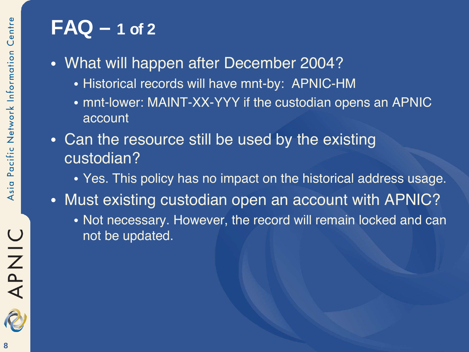### **FAQ – 1 of 2**

- What will happen after December 2004?
	- Historical records will have mnt-by: APNIC-HM
	- mnt-lower: MAINT-XX-YYY if the custodian opens an APNIC account
- Can the resource still be used by the existing custodian?
	- Yes. This policy has no impact on the historical address usage.
- Must existing custodian open an account with APNIC?
	- Not necessary. However, the record will remain locked and can not be updated.

APNIC